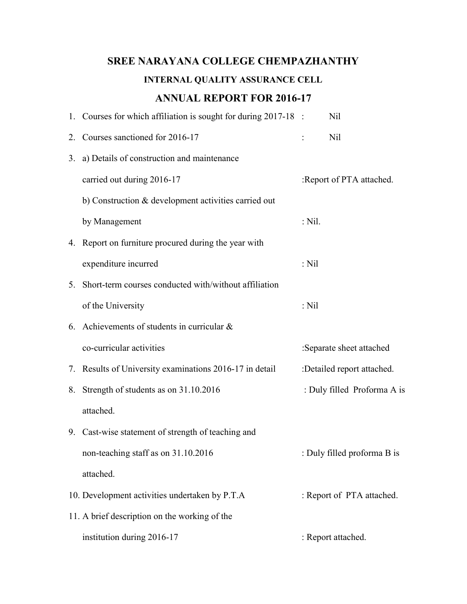# SREE NARAYANA COLLEGE CHEMPAZHANTHY INTERNAL QUALITY ASSURANCE CELL ANNUAL REPORT FOR 2016-17

|    | 1. Courses for which affiliation is sought for during 2017-18 : |          | Nil                         |
|----|-----------------------------------------------------------------|----------|-----------------------------|
|    | 2. Courses sanctioned for 2016-17                               |          | Nil                         |
| 3. | a) Details of construction and maintenance                      |          |                             |
|    | carried out during 2016-17                                      |          | :Report of PTA attached.    |
|    | b) Construction & development activities carried out            |          |                             |
|    | by Management                                                   | $:$ Nil. |                             |
|    | 4. Report on furniture procured during the year with            |          |                             |
|    | expenditure incurred                                            | $:$ Nil  |                             |
|    | 5. Short-term courses conducted with/without affiliation        |          |                             |
|    | of the University                                               | $:$ Nil  |                             |
|    | 6. Achievements of students in curricular $\&$                  |          |                             |
|    | co-curricular activities                                        |          | :Separate sheet attached    |
|    | 7. Results of University examinations 2016-17 in detail         |          | :Detailed report attached.  |
|    | 8. Strength of students as on 31.10.2016                        |          | : Duly filled Proforma A is |
|    | attached.                                                       |          |                             |
|    | 9. Cast-wise statement of strength of teaching and              |          |                             |
|    | non-teaching staff as on 31.10.2016                             |          | : Duly filled proforma B is |
|    | attached.                                                       |          |                             |
|    | 10. Development activities undertaken by P.T.A                  |          | : Report of PTA attached.   |
|    | 11. A brief description on the working of the                   |          |                             |
|    | institution during 2016-17                                      |          | : Report attached.          |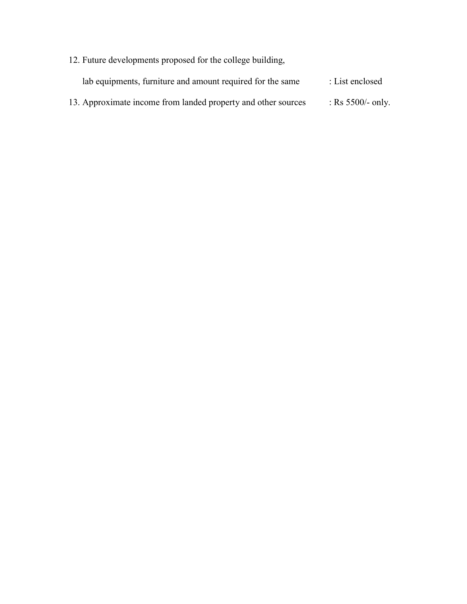12. Future developments proposed for the college building, lab equipments, furniture and amount required for the same : List enclosed 13. Approximate income from landed property and other sources : Rs 5500/- only.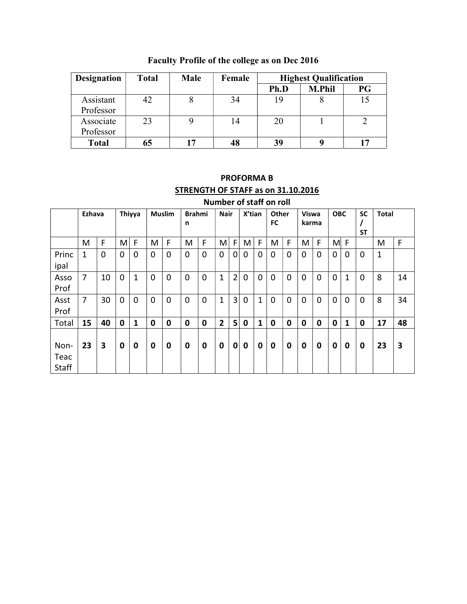| <b>Designation</b> | <b>Total</b> | <b>Male</b> | Female | <b>Highest Qualification</b> |               |    |
|--------------------|--------------|-------------|--------|------------------------------|---------------|----|
|                    |              |             |        | Ph.D                         | <b>M.Phil</b> | PG |
| Assistant          | 42           |             | 34     | 19                           |               |    |
| Professor          |              |             |        |                              |               |    |
| Associate          | 23           |             | 14     | 20                           |               |    |
| Professor          |              |             |        |                              |               |    |
| <b>Total</b>       | 65           | 17          | 48     | 39                           |               |    |

Faculty Profile of the college as on Dec 2016

# PROFORMA B STRENGTH OF STAFF as on 31.10.2016 Number of staff on roll

|                       | Ezhava |    |                  | Thiyya |   | <b>Muslim</b> | <b>Brahmi</b><br>n |   | <b>Nair</b>    |   | X'tian |                | <b>Other</b><br>FC |             | <b>Viswa</b><br>karma |   | <b>OBC</b>  |          | <b>SC</b><br><b>ST</b> | <b>Total</b> |             |
|-----------------------|--------|----|------------------|--------|---|---------------|--------------------|---|----------------|---|--------|----------------|--------------------|-------------|-----------------------|---|-------------|----------|------------------------|--------------|-------------|
|                       | M      | F  | M                | F      | M | F             | M                  | F | M              | F | M      | F              | M                  | F           | M                     | F | M           | F        |                        | M            | $\mathsf F$ |
| Princ<br>ipal         | 1      | 0  | $\mathbf 0$      | 0      | 0 | $\mathbf 0$   | 0                  | 0 | 0              | 0 | 0      | 0              | 0                  | 0           | 0                     | 0 | 0           | 0        | 0                      | $\mathbf{1}$ |             |
| Asso<br>Prof          | 7      | 10 | 0                | 1      | 0 | $\mathbf 0$   | 0                  | 0 | 1              | 2 | 0      | $\overline{0}$ | 0                  | 0           | 0                     | 0 | 0           | 1        | 0                      | 8            | 14          |
| Asst<br>Prof          | 7      | 30 | $\mathbf 0$      | 0      | 0 | $\mathbf 0$   | 0                  | 0 | 1              | 3 | 0      | 1              | 0                  | 0           | 0                     | 0 | 0           | $\Omega$ | $\mathbf 0$            | 8            | 34          |
| Total                 | 15     | 40 | $\mathbf 0$      | 1      | 0 | 0             | 0                  | 0 | $\overline{2}$ | 5 | 0      | 1              | 0                  | $\mathbf 0$ | 0                     | 0 | $\mathbf 0$ | 1        | $\mathbf 0$            | 17           | 48          |
| Non-<br>Teac<br>Staff | 23     | 3  | $\boldsymbol{0}$ | 0      | 0 | 0             | 0                  | 0 | 0              | 0 | 0      | 0              | 0                  | 0           | 0                     | 0 | 0           | 0        | 0                      | 23           | 3           |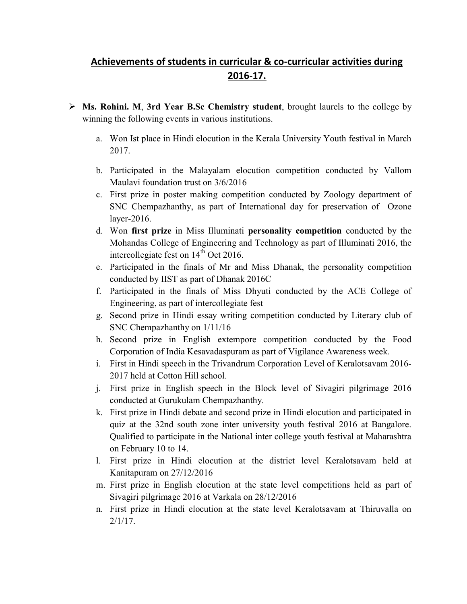# Achievements of students in curricular & co-curricular activities during 2016-17.

- $\triangleright$  Ms. Rohini. M, 3rd Year B.Sc Chemistry student, brought laurels to the college by winning the following events in various institutions.
	- a. Won Ist place in Hindi elocution in the Kerala University Youth festival in March 2017.
	- b. Participated in the Malayalam elocution competition conducted by Vallom Maulavi foundation trust on 3/6/2016
	- c. First prize in poster making competition conducted by Zoology department of SNC Chempazhanthy, as part of International day for preservation of Ozone layer-2016.
	- d. Won first prize in Miss Illuminati personality competition conducted by the Mohandas College of Engineering and Technology as part of Illuminati 2016, the intercollegiate fest on  $14<sup>th</sup>$  Oct 2016.
	- e. Participated in the finals of Mr and Miss Dhanak, the personality competition conducted by IIST as part of Dhanak 2016C
	- f. Participated in the finals of Miss Dhyuti conducted by the ACE College of Engineering, as part of intercollegiate fest
	- g. Second prize in Hindi essay writing competition conducted by Literary club of SNC Chempazhanthy on 1/11/16
	- h. Second prize in English extempore competition conducted by the Food Corporation of India Kesavadaspuram as part of Vigilance Awareness week.
	- i. First in Hindi speech in the Trivandrum Corporation Level of Keralotsavam 2016- 2017 held at Cotton Hill school.
	- j. First prize in English speech in the Block level of Sivagiri pilgrimage 2016 conducted at Gurukulam Chempazhanthy.
	- k. First prize in Hindi debate and second prize in Hindi elocution and participated in quiz at the 32nd south zone inter university youth festival 2016 at Bangalore. Qualified to participate in the National inter college youth festival at Maharashtra on February 10 to 14.
	- l. First prize in Hindi elocution at the district level Keralotsavam held at Kanitapuram on 27/12/2016
	- m. First prize in English elocution at the state level competitions held as part of Sivagiri pilgrimage 2016 at Varkala on 28/12/2016
	- n. First prize in Hindi elocution at the state level Keralotsavam at Thiruvalla on  $2/1/17$ .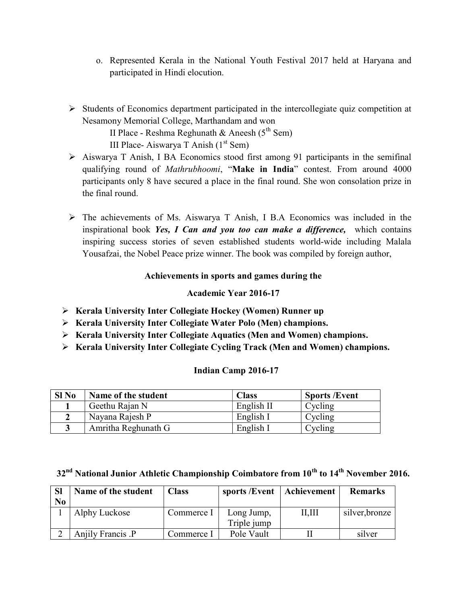- o. Represented Kerala in the National Youth Festival 2017 held at Haryana and participated in Hindi elocution.
- $\triangleright$  Students of Economics department participated in the intercollegiate quiz competition at Nesamony Memorial College, Marthandam and won

II Place - Reshma Reghunath & Aneesh  $(5^{th}$  Sem)

III Place- Aiswarya T Anish  $(1<sup>st</sup>$  Sem)

- $\triangleright$  Aiswarya T Anish, I BA Economics stood first among 91 participants in the semifinal qualifying round of Mathrubhoomi, "Make in India" contest. From around 4000 participants only 8 have secured a place in the final round. She won consolation prize in the final round.
- The achievements of Ms. Aiswarya T Anish, I B.A Economics was included in the inspirational book Yes, I Can and you too can make a difference, which contains inspiring success stories of seven established students world-wide including Malala Yousafzai, the Nobel Peace prize winner. The book was compiled by foreign author,

# Achievements in sports and games during the

# Academic Year 2016-17

- Kerala University Inter Collegiate Hockey (Women) Runner up
- $\triangleright$  Kerala University Inter Collegiate Water Polo (Men) champions.
- $\triangleright$  Kerala University Inter Collegiate Aquatics (Men and Women) champions.
- Kerala University Inter Collegiate Cycling Track (Men and Women) champions.

### Indian Camp 2016-17

| $SI$ No | Name of the student | <b>Class</b> | <b>Sports /Event</b> |
|---------|---------------------|--------------|----------------------|
|         | Geethu Rajan N      | English II   | Cycling              |
|         | Nayana Rajesh P     | English I    | Cycling              |
|         | Amritha Reghunath G | English I    | Cycling              |

 $32<sup>nd</sup>$  National Junior Athletic Championship Coimbatore from  $10<sup>th</sup>$  to  $14<sup>th</sup>$  November 2016.

| <b>SI</b><br>N <sub>0</sub> | Name of the student | <b>Class</b> | sports /Event             | Achievement | <b>Remarks</b> |
|-----------------------------|---------------------|--------------|---------------------------|-------------|----------------|
|                             | Alphy Luckose       | Commerce I   | Long Jump,<br>Triple jump | II, III     | silver, bronze |
|                             | Anjily Francis .P   | Commerce I   | Pole Vault                |             | silver         |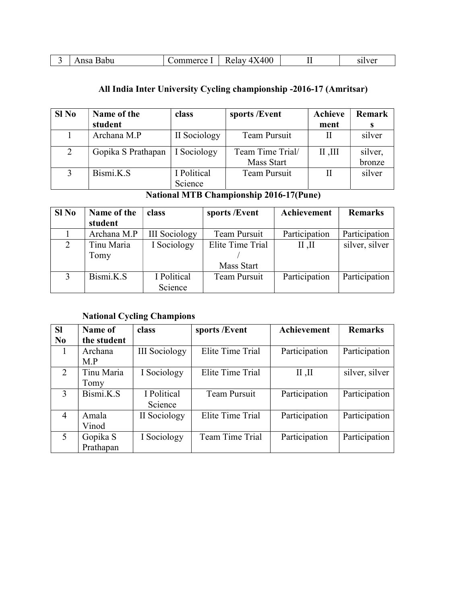|  | 3abu<br>'Sa | -------<br>∼<br>. I E<br>$\lambda$ | $\sim$<br>- R<br>elav<br>IVU a<br>,,,, | --<br> | sılver<br>511<br>$\sim$ |
|--|-------------|------------------------------------|----------------------------------------|--------|-------------------------|
|--|-------------|------------------------------------|----------------------------------------|--------|-------------------------|

# All India Inter University Cycling championship -2016-17 (Amritsar)

| $SI$ No | Name of the        | class        | sports /Event    | <b>Achieve</b> | Remark  |
|---------|--------------------|--------------|------------------|----------------|---------|
|         | student            |              |                  | ment           | s       |
|         | Archana M.P        | II Sociology | Team Pursuit     |                | silver  |
| 2       | Gopika S Prathapan | I Sociology  | Team Time Trial/ | III, II        | silver, |
|         |                    |              | Mass Start       |                | bronze  |
|         | Bismi.K.S          | I Political  | Team Pursuit     |                | silver  |
|         |                    | Science      |                  |                |         |

# National MTB Championship 2016-17(Pune)

| Sl No | Name of the | class                | sports /Event       | Achievement   | <b>Remarks</b> |
|-------|-------------|----------------------|---------------------|---------------|----------------|
|       | student     |                      |                     |               |                |
|       | Archana M.P | <b>III</b> Sociology | Team Pursuit        | Participation | Participation  |
|       | Tinu Maria  | I Sociology          | Elite Time Trial    | II, II        | silver, silver |
|       | Tomy        |                      |                     |               |                |
|       |             |                      | Mass Start          |               |                |
|       | Bismi.K.S   | I Political          | <b>Team Pursuit</b> | Participation | Participation  |
|       |             | Science              |                     |               |                |

# National Cycling Champions

| <b>SI</b>      | Name of     | class                | sports /Event    | Achievement   | <b>Remarks</b> |
|----------------|-------------|----------------------|------------------|---------------|----------------|
| N <sub>0</sub> | the student |                      |                  |               |                |
| 1              | Archana     | <b>III</b> Sociology | Elite Time Trial | Participation | Participation  |
|                | M.P         |                      |                  |               |                |
| 2              | Tinu Maria  | I Sociology          | Elite Time Trial | II, II        | silver, silver |
|                | Tomy        |                      |                  |               |                |
| 3              | Bismi.K.S   | I Political          | Team Pursuit     | Participation | Participation  |
|                |             | Science              |                  |               |                |
| $\overline{4}$ | Amala       | II Sociology         | Elite Time Trial | Participation | Participation  |
|                | Vinod       |                      |                  |               |                |
| 5              | Gopika S    | I Sociology          | Team Time Trial  | Participation | Participation  |
|                | Prathapan   |                      |                  |               |                |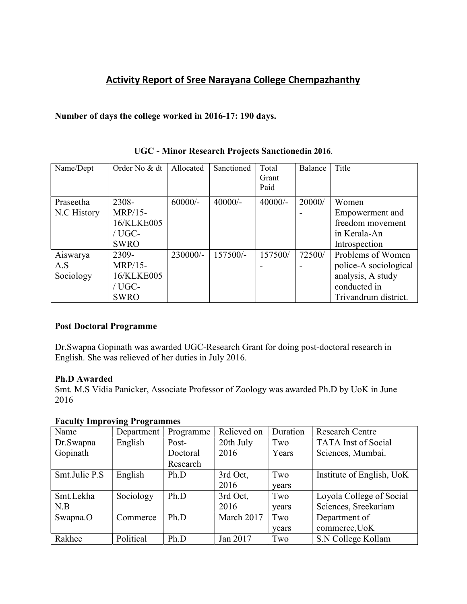# Activity Report of Sree Narayana College Chempazhanthy

### Number of days the college worked in 2016-17: 190 days.

| Name/Dept   | Order No & dt  | Allocated  | Sanctioned | Total     | Balance | Title                 |
|-------------|----------------|------------|------------|-----------|---------|-----------------------|
|             |                |            |            | Grant     |         |                       |
|             |                |            |            | Paid      |         |                       |
| Praseetha   | 2308-          | $60000/-$  | $40000/-$  | $40000/-$ | 20000/  | Women                 |
| N.C History | <b>MRP/15-</b> |            |            |           |         | Empowerment and       |
|             | 16/KLKE005     |            |            |           |         | freedom movement      |
|             | / $UGC-$       |            |            |           |         | in Kerala-An          |
|             | <b>SWRO</b>    |            |            |           |         | Introspection         |
| Aiswarya    | 2309-          | $230000/-$ | 157500/-   | 157500/   | 72500/  | Problems of Women     |
| A.S         | <b>MRP/15-</b> |            |            |           |         | police-A sociological |
| Sociology   | 16/KLKE005     |            |            |           |         | analysis, A study     |
|             | / UGC-         |            |            |           |         | conducted in          |
|             | <b>SWRO</b>    |            |            |           |         | Trivandrum district.  |

UGC - Minor Research Projects Sanctionedin 2016.

#### Post Doctoral Programme

Dr.Swapna Gopinath was awarded UGC-Research Grant for doing post-doctoral research in English. She was relieved of her duties in July 2016.

#### Ph.D Awarded

Smt. M.S Vidia Panicker, Associate Professor of Zoology was awarded Ph.D by UoK in June 2016

### Faculty Improving Programmes

|               | $\sim$<br>$\sim$ |           |             |          |                            |
|---------------|------------------|-----------|-------------|----------|----------------------------|
| Name          | Department       | Programme | Relieved on | Duration | <b>Research Centre</b>     |
| Dr.Swapna     | English          | Post-     | 20th July   | Two      | <b>TATA</b> Inst of Social |
| Gopinath      |                  | Doctoral  | 2016        | Years    | Sciences, Mumbai.          |
|               |                  | Research  |             |          |                            |
| Smt.Julie P.S | English          | Ph.D      | 3rd Oct,    | Two      | Institute of English, UoK  |
|               |                  |           | 2016        | years    |                            |
| Smt.Lekha     | Sociology        | Ph.D      | 3rd Oct,    | Two      | Loyola College of Social   |
| N.B           |                  |           | 2016        | vears    | Sciences, Sreekariam       |
| Swapna.O      | Commerce         | Ph.D      | March 2017  | Two      | Department of              |
|               |                  |           |             | vears    | commerce, UoK              |
| Rakhee        | Political        | Ph.D      | Jan 2017    | Two      | S.N College Kollam         |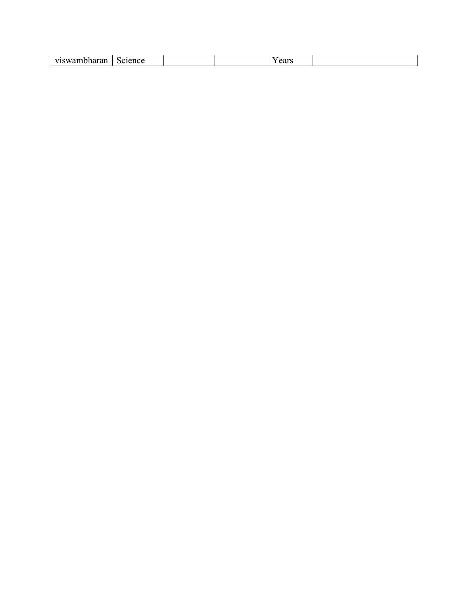| II10II0000000000000<br>$\alpha$<br>science<br>$\sim \mathbf{W}$<br>саг<br>лнаган |  |
|----------------------------------------------------------------------------------|--|
|----------------------------------------------------------------------------------|--|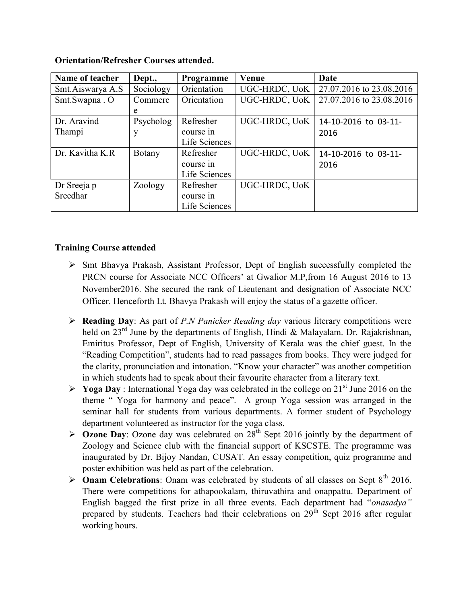| Name of teacher  | Dept.,    | Programme     | Venue         | Date                     |
|------------------|-----------|---------------|---------------|--------------------------|
| Smt.Aiswarya A.S | Sociology | Orientation   | UGC-HRDC, UoK | 27.07.2016 to 23.08.2016 |
| Smt.Swapna.O     | Commerc   | Orientation   | UGC-HRDC, UoK | 27.07.2016 to 23.08.2016 |
|                  | e         |               |               |                          |
| Dr. Aravind      | Psycholog | Refresher     | UGC-HRDC, UoK | 14-10-2016 to 03-11-     |
| Thampi           | у         | course in     |               | 2016                     |
|                  |           | Life Sciences |               |                          |
| Dr. Kavitha K.R  | Botany    | Refresher     | UGC-HRDC, UoK | 14-10-2016 to 03-11-     |
|                  |           | course in     |               | 2016                     |
|                  |           | Life Sciences |               |                          |
| Dr Sreeja p      | Zoology   | Refresher     | UGC-HRDC, UoK |                          |
| Sreedhar         |           | course in     |               |                          |
|                  |           | Life Sciences |               |                          |

#### Orientation/Refresher Courses attended.

#### Training Course attended

- Smt Bhavya Prakash, Assistant Professor, Dept of English successfully completed the PRCN course for Associate NCC Officers' at Gwalior M.P,from 16 August 2016 to 13 November2016. She secured the rank of Lieutenant and designation of Associate NCC Officer. Henceforth Lt. Bhavya Prakash will enjoy the status of a gazette officer.
- $\triangleright$  Reading Day: As part of *P.N Panicker Reading day* various literary competitions were held on  $23<sup>rd</sup>$  June by the departments of English, Hindi & Malayalam. Dr. Rajakrishnan, Emiritus Professor, Dept of English, University of Kerala was the chief guest. In the "Reading Competition", students had to read passages from books. They were judged for the clarity, pronunciation and intonation. "Know your character" was another competition in which students had to speak about their favourite character from a literary text.
- $\triangleright$  Yoga Day : International Yoga day was celebrated in the college on 21<sup>st</sup> June 2016 on the theme " Yoga for harmony and peace". A group Yoga session was arranged in the seminar hall for students from various departments. A former student of Psychology department volunteered as instructor for the yoga class.
- $\triangleright$  Ozone Day: Ozone day was celebrated on 28<sup>th</sup> Sept 2016 jointly by the department of Zoology and Science club with the financial support of KSCSTE. The programme was inaugurated by Dr. Bijoy Nandan, CUSAT. An essay competition, quiz programme and poster exhibition was held as part of the celebration.
- $\triangleright$  **Onam Celebrations:** Onam was celebrated by students of all classes on Sept 8<sup>th</sup> 2016. There were competitions for athapookalam, thiruvathira and onappattu. Department of English bagged the first prize in all three events. Each department had "onasadya" prepared by students. Teachers had their celebrations on  $29<sup>th</sup>$  Sept 2016 after regular working hours.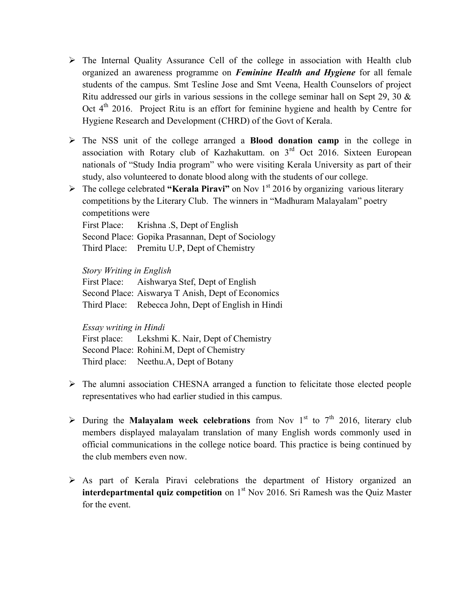- $\triangleright$  The Internal Quality Assurance Cell of the college in association with Health club organized an awareness programme on Feminine Health and Hygiene for all female students of the campus. Smt Tesline Jose and Smt Veena, Health Counselors of project Ritu addressed our girls in various sessions in the college seminar hall on Sept 29, 30 & Oct  $4<sup>th</sup>$  2016. Project Ritu is an effort for feminine hygiene and health by Centre for Hygiene Research and Development (CHRD) of the Govt of Kerala.
- $\triangleright$  The NSS unit of the college arranged a **Blood donation camp** in the college in association with Rotary club of Kazhakuttam. on  $3<sup>rd</sup>$  Oct 2016. Sixteen European nationals of "Study India program" who were visiting Kerala University as part of their study, also volunteered to donate blood along with the students of our college.
- $\triangleright$  The college celebrated "Kerala Piravi" on Nov 1<sup>st</sup> 2016 by organizing various literary competitions by the Literary Club. The winners in "Madhuram Malayalam" poetry competitions were

First Place: Krishna .S, Dept of English Second Place: Gopika Prasannan, Dept of Sociology Third Place: Premitu U.P, Dept of Chemistry

Story Writing in English

First Place: Aishwarya Stef, Dept of English Second Place: Aiswarya T Anish, Dept of Economics Third Place: Rebecca John, Dept of English in Hindi

Essay writing in Hindi

First place: Lekshmi K. Nair, Dept of Chemistry Second Place: Rohini.M, Dept of Chemistry Third place: Neethu.A, Dept of Botany

- The alumni association CHESNA arranged a function to felicitate those elected people representatives who had earlier studied in this campus.
- > During the Malayalam week celebrations from Nov 1<sup>st</sup> to 7<sup>th</sup> 2016, literary club members displayed malayalam translation of many English words commonly used in official communications in the college notice board. This practice is being continued by the club members even now.
- $\triangleright$  As part of Kerala Piravi celebrations the department of History organized an **interdepartmental quiz competition** on  $1<sup>st</sup>$  Nov 2016. Sri Ramesh was the Quiz Master for the event.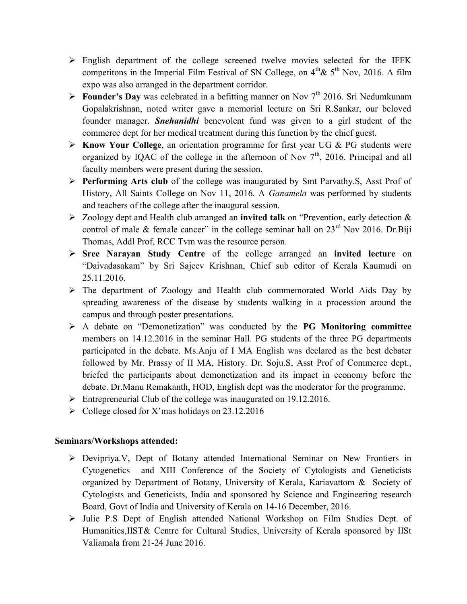- $\triangleright$  English department of the college screened twelve movies selected for the IFFK competitons in the Imperial Film Festival of SN College, on  $4^{th}$ &  $5^{th}$  Nov, 2016. A film expo was also arranged in the department corridor.
- **Founder's Day** was celebrated in a befitting manner on Nov  $7<sup>th</sup>$  2016. Sri Nedumkunam Gopalakrishnan, noted writer gave a memorial lecture on Sri R.Sankar, our beloved founder manager. Snehanidhi benevolent fund was given to a girl student of the commerce dept for her medical treatment during this function by the chief guest.
- $\triangleright$  Know Your College, an orientation programme for first year UG & PG students were organized by IQAC of the college in the afternoon of Nov  $7<sup>th</sup>$ , 2016. Principal and all faculty members were present during the session.
- Performing Arts club of the college was inaugurated by Smt Parvathy.S, Asst Prof of History, All Saints College on Nov 11, 2016. A Ganamela was performed by students and teachers of the college after the inaugural session.
- $\triangleright$  Zoology dept and Health club arranged an invited talk on "Prevention, early detection & control of male & female cancer" in the college seminar hall on  $23<sup>rd</sup>$  Nov 2016. Dr.Biji Thomas, Addl Prof, RCC Tvm was the resource person.
- $\triangleright$  Sree Narayan Study Centre of the college arranged an invited lecture on "Daivadasakam" by Sri Sajeev Krishnan, Chief sub editor of Kerala Kaumudi on 25.11.2016.
- $\triangleright$  The department of Zoology and Health club commemorated World Aids Day by spreading awareness of the disease by students walking in a procession around the campus and through poster presentations.
- $\triangleright$  A debate on "Demonetization" was conducted by the PG Monitoring committee members on 14.12.2016 in the seminar Hall. PG students of the three PG departments participated in the debate. Ms.Anju of I MA English was declared as the best debater followed by Mr. Prassy of II MA, History. Dr. Soju.S, Asst Prof of Commerce dept., briefed the participants about demonetization and its impact in economy before the debate. Dr.Manu Remakanth, HOD, English dept was the moderator for the programme.
- $\triangleright$  Entrepreneurial Club of the college was inaugurated on 19.12.2016.
- $\triangleright$  College closed for X'mas holidays on 23.12.2016

### Seminars/Workshops attended:

- Devipriya.V, Dept of Botany attended International Seminar on New Frontiers in Cytogenetics and XIII Conference of the Society of Cytologists and Geneticists organized by Department of Botany, University of Kerala, Kariavattom & Society of Cytologists and Geneticists, India and sponsored by Science and Engineering research Board, Govt of India and University of Kerala on 14-16 December, 2016.
- > Julie P.S Dept of English attended National Workshop on Film Studies Dept. of Humanities,IIST& Centre for Cultural Studies, University of Kerala sponsored by IISt Valiamala from 21-24 June 2016.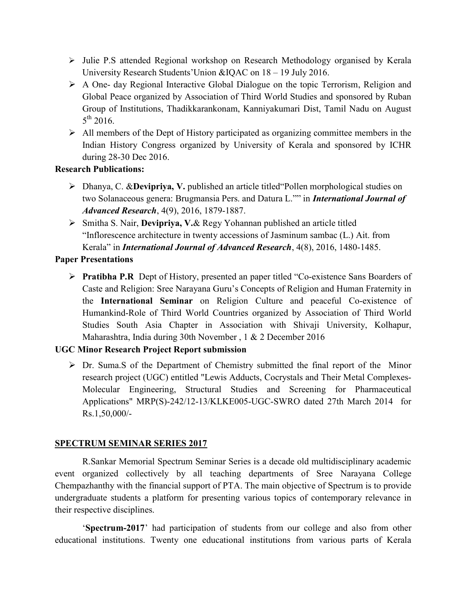- $\triangleright$  Julie P.S attended Regional workshop on Research Methodology organised by Kerala University Research Students'Union &IQAC on 18 – 19 July 2016.
- A One- day Regional Interactive Global Dialogue on the topic Terrorism, Religion and Global Peace organized by Association of Third World Studies and sponsored by Ruban Group of Institutions, Thadikkarankonam, Kanniyakumari Dist, Tamil Nadu on August  $5^{\text{th}}$  2016.
- $\triangleright$  All members of the Dept of History participated as organizing committee members in the Indian History Congress organized by University of Kerala and sponsored by ICHR during 28-30 Dec 2016.

#### Research Publications:

- Dhanya, C. &Devipriya, V. published an article titled"Pollen morphological studies on two Solanaceous genera: Brugmansia Pers. and Datura L."" in *International Journal of* Advanced Research, 4(9), 2016, 1879-1887.
- $\triangleright$  Smitha S. Nair, **Devipriya, V.**& Regy Yohannan published an article titled "Inflorescence architecture in twenty accessions of Jasminum sambac (L.) Ait. from Kerala" in International Journal of Advanced Research, 4(8), 2016, 1480-1485.

### Paper Presentations

▶ Pratibha P.R Dept of History, presented an paper titled "Co-existence Sans Boarders of Caste and Religion: Sree Narayana Guru's Concepts of Religion and Human Fraternity in the International Seminar on Religion Culture and peaceful Co-existence of Humankind-Role of Third World Countries organized by Association of Third World Studies South Asia Chapter in Association with Shivaji University, Kolhapur, Maharashtra, India during 30th November , 1 & 2 December 2016

### UGC Minor Research Project Report submission

 Dr. Suma.S of the Department of Chemistry submitted the final report of the Minor research project (UGC) entitled "Lewis Adducts, Cocrystals and Their Metal Complexes-Molecular Engineering, Structural Studies and Screening for Pharmaceutical Applications" MRP(S)-242/12-13/KLKE005-UGC-SWRO dated 27th March 2014 for Rs.1,50,000/-

### SPECTRUM SEMINAR SERIES 2017

R.Sankar Memorial Spectrum Seminar Series is a decade old multidisciplinary academic event organized collectively by all teaching departments of Sree Narayana College Chempazhanthy with the financial support of PTA. The main objective of Spectrum is to provide undergraduate students a platform for presenting various topics of contemporary relevance in their respective disciplines.

'Spectrum-2017' had participation of students from our college and also from other educational institutions. Twenty one educational institutions from various parts of Kerala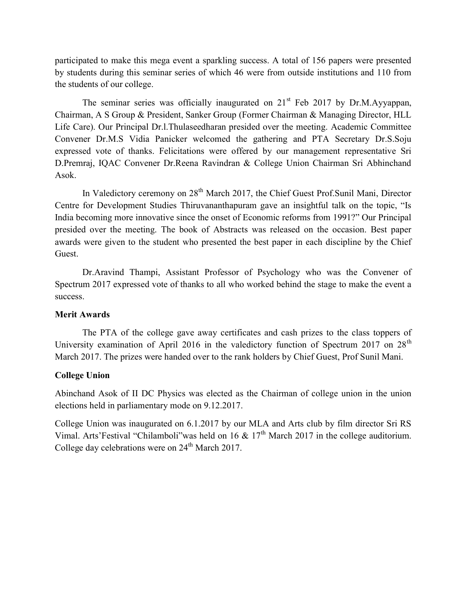participated to make this mega event a sparkling success. A total of 156 papers were presented by students during this seminar series of which 46 were from outside institutions and 110 from the students of our college.

The seminar series was officially inaugurated on  $21<sup>st</sup>$  Feb 2017 by Dr.M.Ayyappan, Chairman, A S Group & President, Sanker Group (Former Chairman & Managing Director, HLL Life Care). Our Principal Dr.l.Thulaseedharan presided over the meeting. Academic Committee Convener Dr.M.S Vidia Panicker welcomed the gathering and PTA Secretary Dr.S.Soju expressed vote of thanks. Felicitations were offered by our management representative Sri D.Premraj, IQAC Convener Dr.Reena Ravindran & College Union Chairman Sri Abhinchand Asok.

In Valedictory ceremony on  $28<sup>th</sup>$  March 2017, the Chief Guest Prof. Sunil Mani, Director Centre for Development Studies Thiruvananthapuram gave an insightful talk on the topic, "Is India becoming more innovative since the onset of Economic reforms from 1991?" Our Principal presided over the meeting. The book of Abstracts was released on the occasion. Best paper awards were given to the student who presented the best paper in each discipline by the Chief Guest.

Dr.Aravind Thampi, Assistant Professor of Psychology who was the Convener of Spectrum 2017 expressed vote of thanks to all who worked behind the stage to make the event a success.

#### Merit Awards

The PTA of the college gave away certificates and cash prizes to the class toppers of University examination of April 2016 in the valedictory function of Spectrum 2017 on  $28<sup>th</sup>$ March 2017. The prizes were handed over to the rank holders by Chief Guest, Prof Sunil Mani.

### College Union

Abinchand Asok of II DC Physics was elected as the Chairman of college union in the union elections held in parliamentary mode on 9.12.2017.

College Union was inaugurated on 6.1.2017 by our MLA and Arts club by film director Sri RS Vimal. Arts'Festival "Chilamboli" was held on 16 & 17<sup>th</sup> March 2017 in the college auditorium. College day celebrations were on 24<sup>th</sup> March 2017.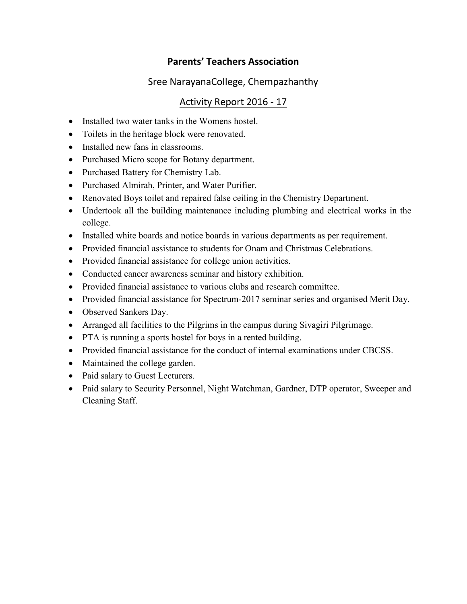# Parents' Teachers Association

# Sree NarayanaCollege, Chempazhanthy

# Activity Report 2016 - 17

- Installed two water tanks in the Womens hostel.
- Toilets in the heritage block were renovated.
- Installed new fans in classrooms.
- Purchased Micro scope for Botany department.
- Purchased Battery for Chemistry Lab.
- Purchased Almirah, Printer, and Water Purifier.
- Renovated Boys toilet and repaired false ceiling in the Chemistry Department.
- Undertook all the building maintenance including plumbing and electrical works in the college.
- Installed white boards and notice boards in various departments as per requirement.
- Provided financial assistance to students for Onam and Christmas Celebrations.
- Provided financial assistance for college union activities.
- Conducted cancer awareness seminar and history exhibition.
- Provided financial assistance to various clubs and research committee.
- Provided financial assistance for Spectrum-2017 seminar series and organised Merit Day.
- Observed Sankers Day.
- Arranged all facilities to the Pilgrims in the campus during Sivagiri Pilgrimage.
- PTA is running a sports hostel for boys in a rented building.
- Provided financial assistance for the conduct of internal examinations under CBCSS.
- Maintained the college garden.
- Paid salary to Guest Lecturers.
- Paid salary to Security Personnel, Night Watchman, Gardner, DTP operator, Sweeper and Cleaning Staff.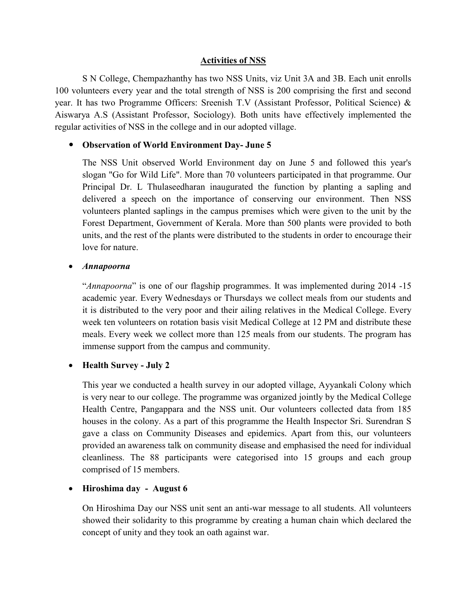#### Activities of NSS

S N College, Chempazhanthy has two NSS Units, viz Unit 3A and 3B. Each unit enrolls 100 volunteers every year and the total strength of NSS is 200 comprising the first and second year. It has two Programme Officers: Sreenish T.V (Assistant Professor, Political Science) & Aiswarya A.S (Assistant Professor, Sociology). Both units have effectively implemented the regular activities of NSS in the college and in our adopted village.

### • Observation of World Environment Day- June 5

The NSS Unit observed World Environment day on June 5 and followed this year's slogan "Go for Wild Life". More than 70 volunteers participated in that programme. Our Principal Dr. L Thulaseedharan inaugurated the function by planting a sapling and delivered a speech on the importance of conserving our environment. Then NSS volunteers planted saplings in the campus premises which were given to the unit by the Forest Department, Government of Kerala. More than 500 plants were provided to both units, and the rest of the plants were distributed to the students in order to encourage their love for nature.

#### Annapoorna

"Annapoorna" is one of our flagship programmes. It was implemented during 2014 -15 academic year. Every Wednesdays or Thursdays we collect meals from our students and it is distributed to the very poor and their ailing relatives in the Medical College. Every week ten volunteers on rotation basis visit Medical College at 12 PM and distribute these meals. Every week we collect more than 125 meals from our students. The program has immense support from the campus and community.

#### • Health Survey - July 2

This year we conducted a health survey in our adopted village, Ayyankali Colony which is very near to our college. The programme was organized jointly by the Medical College Health Centre, Pangappara and the NSS unit. Our volunteers collected data from 185 houses in the colony. As a part of this programme the Health Inspector Sri. Surendran S gave a class on Community Diseases and epidemics. Apart from this, our volunteers provided an awareness talk on community disease and emphasised the need for individual cleanliness. The 88 participants were categorised into 15 groups and each group comprised of 15 members.

#### • Hiroshima day - August 6

On Hiroshima Day our NSS unit sent an anti-war message to all students. All volunteers showed their solidarity to this programme by creating a human chain which declared the concept of unity and they took an oath against war.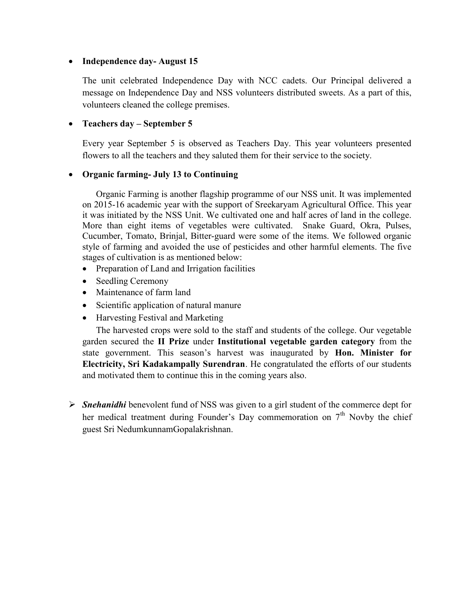#### • Independence day-August 15

The unit celebrated Independence Day with NCC cadets. Our Principal delivered a message on Independence Day and NSS volunteers distributed sweets. As a part of this, volunteers cleaned the college premises.

#### • Teachers day – September 5

Every year September 5 is observed as Teachers Day. This year volunteers presented flowers to all the teachers and they saluted them for their service to the society.

#### Organic farming- July 13 to Continuing

Organic Farming is another flagship programme of our NSS unit. It was implemented on 2015-16 academic year with the support of Sreekaryam Agricultural Office. This year it was initiated by the NSS Unit. We cultivated one and half acres of land in the college. More than eight items of vegetables were cultivated. Snake Guard, Okra, Pulses, Cucumber, Tomato, Brinjal, Bitter-guard were some of the items. We followed organic style of farming and avoided the use of pesticides and other harmful elements. The five stages of cultivation is as mentioned below:

- Preparation of Land and Irrigation facilities
- Seedling Ceremony
- Maintenance of farm land
- Scientific application of natural manure
- Harvesting Festival and Marketing

The harvested crops were sold to the staff and students of the college. Our vegetable garden secured the II Prize under Institutional vegetable garden category from the state government. This season's harvest was inaugurated by Hon. Minister for Electricity, Sri Kadakampally Surendran. He congratulated the efforts of our students and motivated them to continue this in the coming years also.

 $\triangleright$  Snehanidhi benevolent fund of NSS was given to a girl student of the commerce dept for her medical treatment during Founder's Day commemoration on  $7<sup>th</sup>$  Novby the chief guest Sri NedumkunnamGopalakrishnan.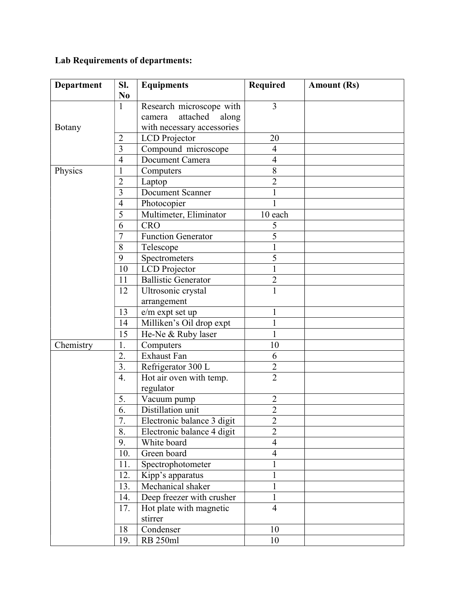# Lab Requirements of departments:

| Department    | Sl.                     | <b>Equipments</b>           | <b>Required</b> | <b>Amount (Rs)</b> |
|---------------|-------------------------|-----------------------------|-----------------|--------------------|
|               | N <sub>0</sub>          |                             |                 |                    |
|               | $\mathbf{1}$            | Research microscope with    | 3               |                    |
|               |                         | attached<br>along<br>camera |                 |                    |
| <b>Botany</b> |                         | with necessary accessories  |                 |                    |
|               | $\overline{2}$          | LCD Projector               | 20              |                    |
|               | 3                       | Compound microscope         | $\overline{4}$  |                    |
|               | $\overline{4}$          | Document Camera             | $\overline{4}$  |                    |
| Physics       | 1                       | Computers                   | $\,8\,$         |                    |
|               | $\overline{2}$          | Laptop                      | $\overline{2}$  |                    |
|               | $\overline{\mathbf{3}}$ | Document Scanner            |                 |                    |
|               | $\overline{4}$          | Photocopier                 |                 |                    |
|               | $\overline{5}$          | Multimeter, Eliminator      | 10 each         |                    |
|               | 6                       | <b>CRO</b>                  | 5               |                    |
|               | $\overline{7}$          | Function Generator          | 5               |                    |
|               | 8                       | Telescope                   | $\mathbf 1$     |                    |
|               | 9                       | Spectrometers               | 5               |                    |
|               | 10                      | LCD Projector               | $\mathbf{1}$    |                    |
|               | 11                      | <b>Ballistic Generator</b>  | $\overline{2}$  |                    |
|               | 12                      | Ultrosonic crystal          | $\mathbf{1}$    |                    |
|               |                         | arrangement                 |                 |                    |
|               | 13                      | e/m expt set up             | 1               |                    |
|               | 14                      | Milliken's Oil drop expt    | $\mathbf 1$     |                    |
|               | 15                      | He-Ne & Ruby laser          | $\mathbf{1}$    |                    |
| Chemistry     | 1.                      | Computers                   | 10              |                    |
|               | 2.                      | Exhaust Fan                 | 6               |                    |
|               | $\overline{3}$ .        | Refrigerator 300 L          | $\overline{2}$  |                    |
|               | 4.                      | Hot air oven with temp.     | $\overline{2}$  |                    |
|               |                         | regulator                   |                 |                    |
| 5.            |                         | Vacuum pump                 | $\overline{2}$  |                    |
|               | 6.                      | Distillation unit           | $\overline{2}$  |                    |
|               | 7.                      | Electronic balance 3 digit  | $\overline{2}$  |                    |
|               | 8.                      | Electronic balance 4 digit  | $\overline{2}$  |                    |
|               | 9.                      | White board                 | $\overline{4}$  |                    |
|               | 10.                     | Green board                 | $\overline{4}$  |                    |
|               | 11.                     | Spectrophotometer           |                 |                    |
|               | 12.                     | Kipp's apparatus            | 1               |                    |
|               | 13.                     | Mechanical shaker           | 1               |                    |
|               | 14.                     | Deep freezer with crusher   | 1               |                    |
|               | 17.                     | Hot plate with magnetic     | $\overline{4}$  |                    |
|               |                         | stirrer                     |                 |                    |
|               | 18                      | Condenser                   | 10              |                    |
|               | 19.                     | <b>RB</b> 250ml             | 10              |                    |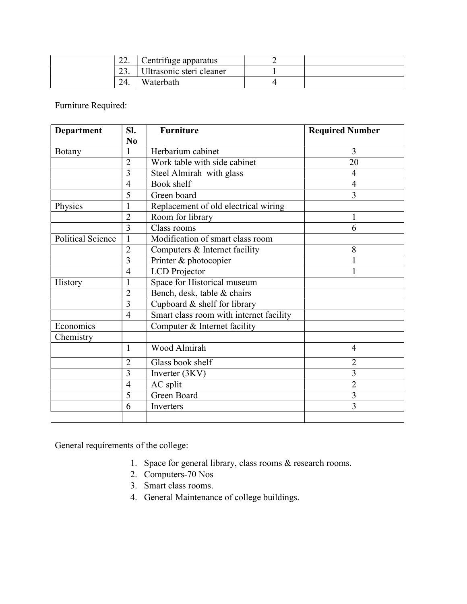| $\sim$<br>44. | Centrifuge apparatus     |  |
|---------------|--------------------------|--|
| $\sim$<br>، ب | Ultrasonic steri cleaner |  |
| 24.           | Waterbath                |  |

Furniture Required:

| Department               | SI.            | <b>Furniture</b>                        | <b>Required Number</b> |
|--------------------------|----------------|-----------------------------------------|------------------------|
|                          | N <sub>0</sub> |                                         |                        |
| Botany                   | $\mathbf{1}$   | Herbarium cabinet                       | 3                      |
|                          | $\overline{2}$ | Work table with side cabinet            | 20                     |
|                          | $\overline{3}$ | Steel Almirah with glass                | 4                      |
|                          | $\overline{4}$ | Book shelf                              | $\overline{4}$         |
|                          | 5              | Green board                             | 3                      |
| Physics                  | $\mathbf{1}$   | Replacement of old electrical wiring    |                        |
|                          | $\overline{2}$ | Room for library                        | 1                      |
|                          | 3              | Class rooms                             | 6                      |
| <b>Political Science</b> | $\mathbf{1}$   | Modification of smart class room        |                        |
|                          | $\overline{2}$ | Computers & Internet facility           | 8                      |
|                          | 3              | Printer & photocopier                   |                        |
|                          | $\overline{4}$ | <b>LCD</b> Projector                    |                        |
| History                  | $\mathbf{1}$   | Space for Historical museum             |                        |
|                          | $\overline{2}$ | Bench, desk, table & chairs             |                        |
|                          | $\overline{3}$ | Cupboard & shelf for library            |                        |
|                          | $\overline{4}$ | Smart class room with internet facility |                        |
| Economics                |                | Computer & Internet facility            |                        |
| Chemistry                |                |                                         |                        |
|                          | $\mathbf{1}$   | Wood Almirah                            | $\overline{4}$         |
|                          | $\overline{2}$ | Glass book shelf                        | $\overline{2}$         |
|                          | 3              | Inverter (3KV)                          | $\overline{3}$         |
|                          | $\overline{4}$ | AC split                                | $\overline{2}$         |
|                          | 5              | Green Board                             | $\overline{3}$         |
|                          | 6              | Inverters                               | 3                      |
|                          |                |                                         |                        |

General requirements of the college:

- 1. Space for general library, class rooms & research rooms.
- 2. Computers-70 Nos
- 3. Smart class rooms.
- 4. General Maintenance of college buildings.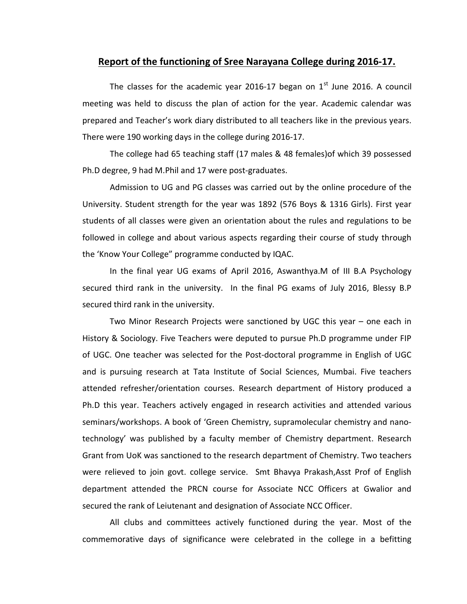# Report of the functioning of Sree Narayana College during 2016-17.

The classes for the academic year 2016-17 began on  $1<sup>st</sup>$  June 2016. A council meeting was held to discuss the plan of action for the year. Academic calendar was prepared and Teacher's work diary distributed to all teachers like in the previous years. There were 190 working days in the college during 2016-17.

 The college had 65 teaching staff (17 males & 48 females)of which 39 possessed Ph.D degree, 9 had M.Phil and 17 were post-graduates.

 Admission to UG and PG classes was carried out by the online procedure of the University. Student strength for the year was 1892 (576 Boys & 1316 Girls). First year students of all classes were given an orientation about the rules and regulations to be followed in college and about various aspects regarding their course of study through the 'Know Your College" programme conducted by IQAC.

In the final year UG exams of April 2016, Aswanthya.M of III B.A Psychology secured third rank in the university. In the final PG exams of July 2016, Blessy B.P secured third rank in the university.

Two Minor Research Projects were sanctioned by UGC this year – one each in History & Sociology. Five Teachers were deputed to pursue Ph.D programme under FIP of UGC. One teacher was selected for the Post-doctoral programme in English of UGC and is pursuing research at Tata Institute of Social Sciences, Mumbai. Five teachers attended refresher/orientation courses. Research department of History produced a Ph.D this year. Teachers actively engaged in research activities and attended various seminars/workshops. A book of 'Green Chemistry, supramolecular chemistry and nanotechnology' was published by a faculty member of Chemistry department. Research Grant from UoK was sanctioned to the research department of Chemistry. Two teachers were relieved to join govt. college service. Smt Bhavya Prakash,Asst Prof of English department attended the PRCN course for Associate NCC Officers at Gwalior and secured the rank of Leiutenant and designation of Associate NCC Officer.

All clubs and committees actively functioned during the year. Most of the commemorative days of significance were celebrated in the college in a befitting